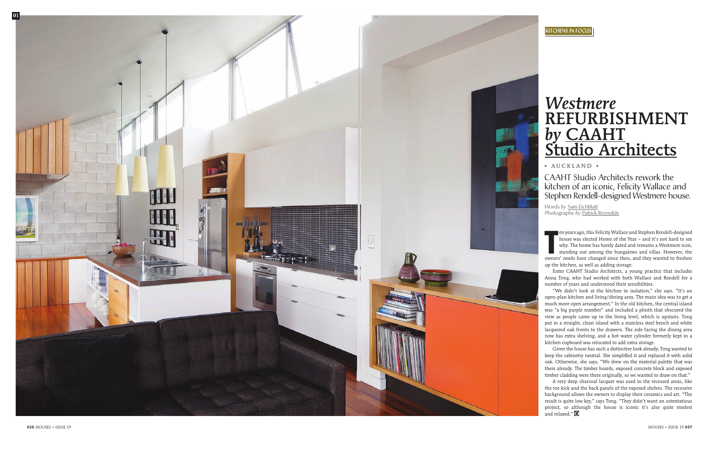en years ago, this Felicity Wallace and Stephen Rendell-designed house was elected Home of the Year – and it's not hard to see why. The home has barely dated and remains a Westmere icon, standing out among the bungalows and villas. However, the owners' needs have changed since then, and they wanted to freshen up the kitchen, as well as adding storage.

Enter CAAHT Studio Architects, a young practice that includes Anna Tong, who had worked with both Wallace and Rendell for a number of years and understood their sensibilities.

A very deep charcoal lacquer was used in the recessed areas, like the toe kick and the back panels of the exposed shelves. The recessive background allows the owners to display their ceramics and art. "The result is quite low key," says Tong. "They didn't want an ostentatious project, so although the house is iconic it's also quite modest and relaxed." H

"We didn't look at the kitchen in isolation," she says. "It's an open-plan kitchen and living/dining area. The main idea was to get a much more open arrangement." In the old kitchen, the central island was "a big purple number" and included a plinth that obscured the view as people came up to the living level, which is upstairs. Tong put in a straight, clean island with a stainless steel bench and white lacquered oak fronts to the drawers. The side facing the dining area now has extra shelving, and a hot water cylinder formerly kept in a kitchen cupboard was relocated to add extra storage.

# *Westmere* refurbishment **by CAAHT**<br>Studio Architects

• AUCKLAND •



Given the house has such a distinctive look already, Tong wanted to keep the cabinetry neutral. She simplified it and replaced it with solid oak. Otherwise, she says, "We drew on the material palette that was there already. The timber boards, exposed concrete block and exposed timber cladding were there originally, so we wanted to draw on that."

Words *by* Sam Eichblatt Photography *by* Patrick Reynolds

CAAHT Studio Architects rework the kitchen of an iconic, Felicity Wallace and Stephen Rendell-designed Westmere house.